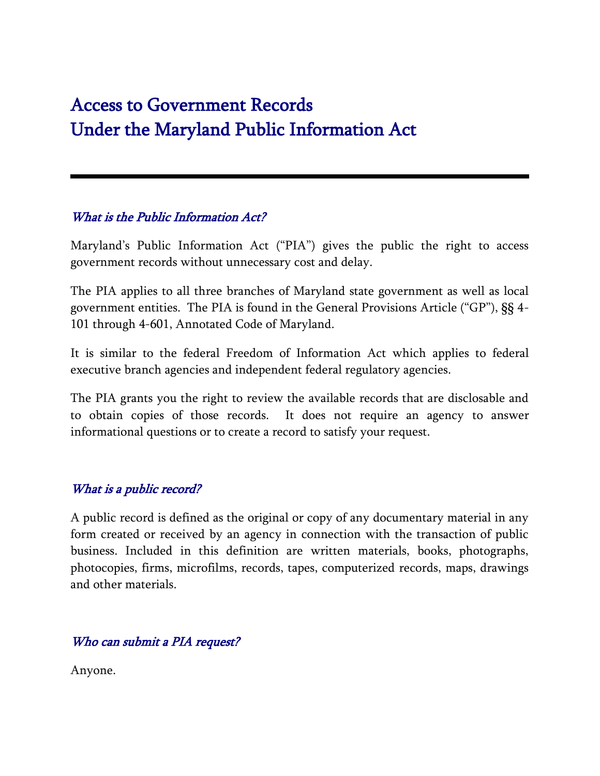# Access to Government Records Under the Maryland Public Information Act

## What is the Public Information Act?

Maryland's Public Information Act ("PIA") gives the public the right to access government records without unnecessary cost and delay.

The PIA applies to all three branches of Maryland state government as well as local government entities. The PIA is found in the General Provisions Article ("GP"), §§ 4- 101 through 4-601, Annotated Code of Maryland.

It is similar to the federal Freedom of Information Act which applies to federal executive branch agencies and independent federal regulatory agencies.

The PIA grants you the right to review the available records that are disclosable and to obtain copies of those records. It does not require an agency to answer informational questions or to create a record to satisfy your request.

#### What is a public record?

A public record is defined as the original or copy of any documentary material in any form created or received by an agency in connection with the transaction of public business. Included in this definition are written materials, books, photographs, photocopies, firms, microfilms, records, tapes, computerized records, maps, drawings and other materials.

#### Who can submit a PIA request?

Anyone.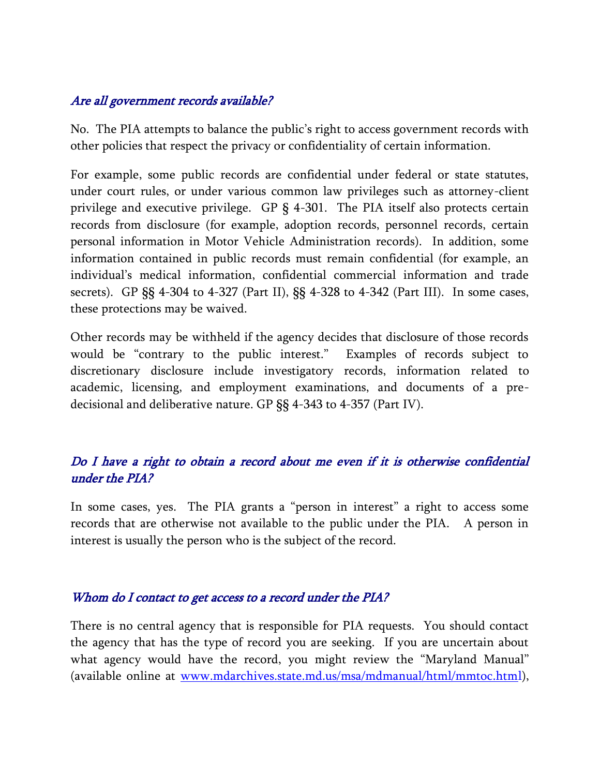## Are all government records available?

No. The PIA attempts to balance the public's right to access government records with other policies that respect the privacy or confidentiality of certain information.

For example, some public records are confidential under federal or state statutes, under court rules, or under various common law privileges such as attorney-client privilege and executive privilege. GP § 4-301. The PIA itself also protects certain records from disclosure (for example, adoption records, personnel records, certain personal information in Motor Vehicle Administration records). In addition, some information contained in public records must remain confidential (for example, an individual's medical information, confidential commercial information and trade secrets). GP §§ 4-304 to 4-327 (Part II), §§ 4-328 to 4-342 (Part III). In some cases, these protections may be waived.

Other records may be withheld if the agency decides that disclosure of those records would be "contrary to the public interest." Examples of records subject to discretionary disclosure include investigatory records, information related to academic, licensing, and employment examinations, and documents of a predecisional and deliberative nature. GP §§ 4-343 to 4-357 (Part IV).

## Do I have a right to obtain a record about me even if it is otherwise confidential under the PIA?

In some cases, yes. The PIA grants a "person in interest" a right to access some records that are otherwise not available to the public under the PIA. A person in interest is usually the person who is the subject of the record.

#### Whom do I contact to get access to a record under the PIA?

There is no central agency that is responsible for PIA requests. You should contact the agency that has the type of record you are seeking. If you are uncertain about what agency would have the record, you might review the "Maryland Manual" (available online at <u>www.mdarchives.state.md.us/msa/mdmanual/html/mmtoc.htm</u>l),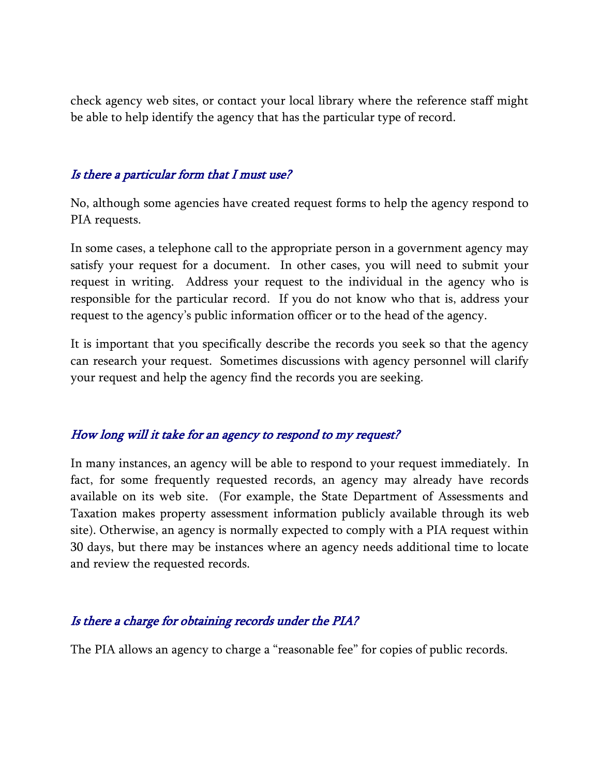check agency web sites, or contact your local library where the reference staff might be able to help identify the agency that has the particular type of record.

#### Is there a particular form that I must use?

No, although some agencies have created request forms to help the agency respond to PIA requests.

In some cases, a telephone call to the appropriate person in a government agency may satisfy your request for a document. In other cases, you will need to submit your request in writing. Address your request to the individual in the agency who is responsible for the particular record. If you do not know who that is, address your request to the agency's public information officer or to the head of the agency.

It is important that you specifically describe the records you seek so that the agency can research your request. Sometimes discussions with agency personnel will clarify your request and help the agency find the records you are seeking.

#### How long will it take for an agency to respond to my request?

In many instances, an agency will be able to respond to your request immediately. In fact, for some frequently requested records, an agency may already have records available on its web site. (For example, the State Department of Assessments and Taxation makes property assessment information publicly available through its web site). Otherwise, an agency is normally expected to comply with a PIA request within 30 days, but there may be instances where an agency needs additional time to locate and review the requested records.

#### Is there a charge for obtaining records under the PIA?

The PIA allows an agency to charge a "reasonable fee" for copies of public records.